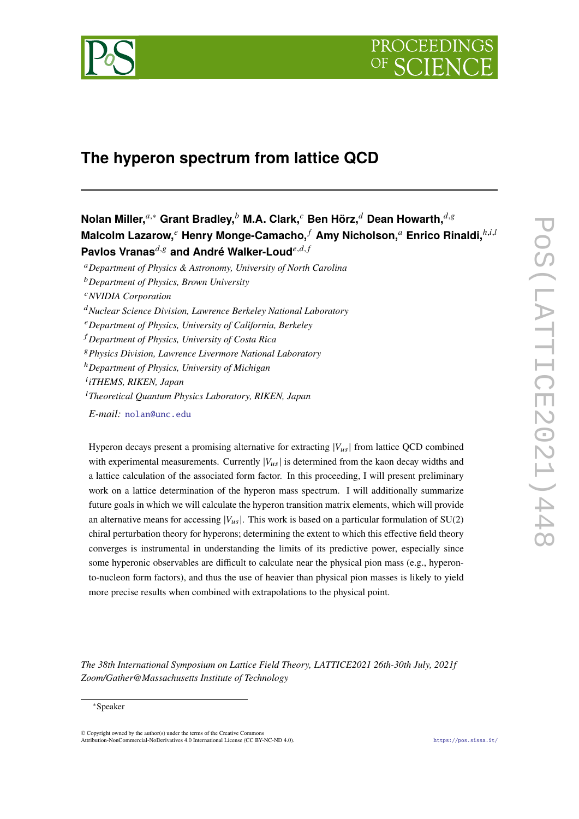

# **The hyperon spectrum from lattice QCD**

**Nolan Miller,**<sup>*a*,\*</sup> Grant Bradley,<sup>*b*</sup> M.A. Clark,<sup>*c*</sup> Ben Hörz,<sup>*d*</sup> Dean Howarth,<sup>*d,g*</sup> **Malcolm Lazarow,** *<sup>e</sup>* **Henry Monge-Camacho,** *f* **Amy Nicholson,** *a* **Enrico Rinaldi,**  $^{h,i,l}$ Pavlos Vranas<sup>d, *g*</sup> and André Walker-Loud<sup>e, d, f</sup>

*Department of Physics & Astronomy, University of North Carolina*

- *NVIDIA Corporation*
- *Nuclear Science Division, Lawrence Berkeley National Laboratory*
- *Department of Physics, University of California, Berkeley*
- *Department of Physics, University of Costa Rica*
- *Physics Division, Lawrence Livermore National Laboratory*
- <sup>ℎ</sup>*Department of Physics, University of Michigan*

*iTHEMS, RIKEN, Japan*

*Theoretical Quantum Physics Laboratory, RIKEN, Japan*

*E-mail:* [nolan@unc.edu](mailto:nolan@unc.edu)

Hyperon decays present a promising alternative for extracting  $|V_{us}|$  from lattice QCD combined with experimental measurements. Currently  $|V_{us}|$  is determined from the kaon decay widths and a lattice calculation of the associated form factor. In this proceeding, I will present preliminary work on a lattice determination of the hyperon mass spectrum. I will additionally summarize future goals in which we will calculate the hyperon transition matrix elements, which will provide an alternative means for accessing  $|V_{us}|$ . This work is based on a particular formulation of SU(2) chiral perturbation theory for hyperons; determining the extent to which this effective field theory converges is instrumental in understanding the limits of its predictive power, especially since some hyperonic observables are difficult to calculate near the physical pion mass (e.g., hyperonto-nucleon form factors), and thus the use of heavier than physical pion masses is likely to yield more precise results when combined with extrapolations to the physical point.

*The 38th International Symposium on Lattice Field Theory, LATTICE2021 26th-30th July, 2021f Zoom/Gather@Massachusetts Institute of Technology*

#### ∗Speaker

© Copyright owned by the author(s) under the terms of the Creative Commons Attribution-NonCommercial-NoDerivatives 4.0 International License (CC BY-NC-ND 4.0). <https://pos.sissa.it/>

*Department of Physics, Brown University*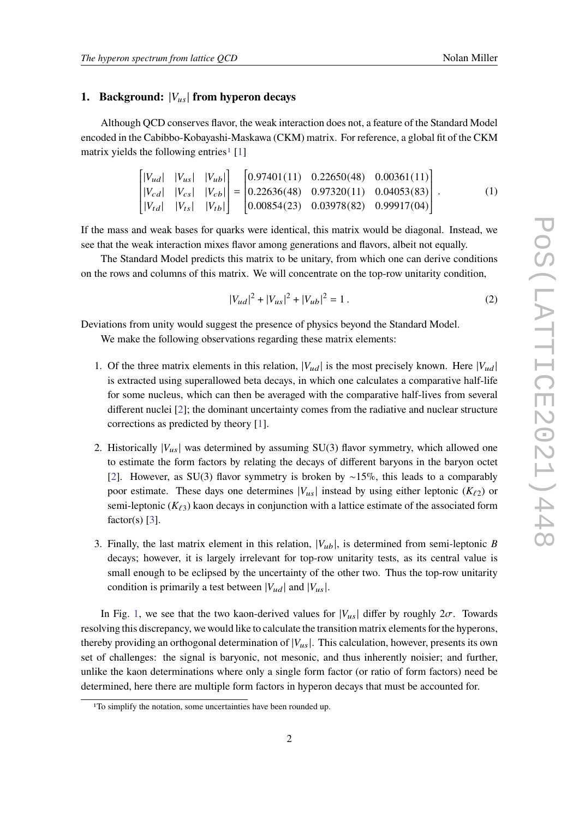Ī

Ĩ

## **1.** Background:  $|V_{us}|$  from hyperon decays

Although QCD conserves flavor, the weak interaction does not, a feature of the Standard Model encoded in the Cabibbo-Kobayashi-Maskawa (CKM) matrix. For reference, a global fit of the CKM matrix yields the following entries<sup>[1](#page-1-0)</sup> [\[1\]](#page-7-0)

$$
\begin{bmatrix}\n|V_{ud}| & |V_{us}| & |V_{ub}| \\
|V_{cd}| & |V_{cs}| & |V_{cb}| \\
|V_{td}| & |V_{ts}| & |V_{tb}|\n\end{bmatrix} =\n\begin{bmatrix}\n0.97401(11) & 0.22650(48) & 0.00361(11) \\
0.22636(48) & 0.97320(11) & 0.04053(83) \\
0.00854(23) & 0.03978(82) & 0.99917(04)\n\end{bmatrix}.
$$
\n(1)

If the mass and weak bases for quarks were identical, this matrix would be diagonal. Instead, we see that the weak interaction mixes flavor among generations and flavors, albeit not equally.

The Standard Model predicts this matrix to be unitary, from which one can derive conditions on the rows and columns of this matrix. We will concentrate on the top-row unitarity condition,

$$
|V_{ud}|^2 + |V_{us}|^2 + |V_{ub}|^2 = 1.
$$
 (2)

Deviations from unity would suggest the presence of physics beyond the Standard Model.

We make the following observations regarding these matrix elements:

Ī

Ī

- 1. Of the three matrix elements in this relation,  $|V_{ud}|$  is the most precisely known. Here  $|V_{ud}|$ is extracted using superallowed beta decays, in which one calculates a comparative half-life for some nucleus, which can then be averaged with the comparative half-lives from several different nuclei [\[2\]](#page-7-1); the dominant uncertainty comes from the radiative and nuclear structure corrections as predicted by theory [\[1\]](#page-7-0).
- 2. Historically  $|V_{us}|$  was determined by assuming SU(3) flavor symmetry, which allowed one to estimate the form factors by relating the decays of different baryons in the baryon octet [\[2\]](#page-7-1). However, as SU(3) flavor symmetry is broken by ∼15%, this leads to a comparably poor estimate. These days one determines  $|V_{us}|$  instead by using either leptonic  $(K_{\ell2})$  or semi-leptonic  $(K_{\ell3})$  kaon decays in conjunction with a lattice estimate of the associated form factor(s)  $[3]$ .
- 3. Finally, the last matrix element in this relation,  $|V_{ub}|$ , is determined from semi-leptonic B decays; however, it is largely irrelevant for top-row unitarity tests, as its central value is small enough to be eclipsed by the uncertainty of the other two. Thus the top-row unitarity condition is primarily a test between  $|V_{ud}|$  and  $|V_{us}|$ .

In Fig. [1,](#page-2-0) we see that the two kaon-derived values for  $|V_{us}|$  differ by roughly  $2\sigma$ . Towards resolving this discrepancy, we would like to calculate the transition matrix elements for the hyperons, thereby providing an orthogonal determination of  $|V_{us}|$ . This calculation, however, presents its own set of challenges: the signal is baryonic, not mesonic, and thus inherently noisier; and further, unlike the kaon determinations where only a single form factor (or ratio of form factors) need be determined, here there are multiple form factors in hyperon decays that must be accounted for.

<span id="page-1-0"></span><sup>&</sup>lt;sup>1</sup>To simplify the notation, some uncertainties have been rounded up.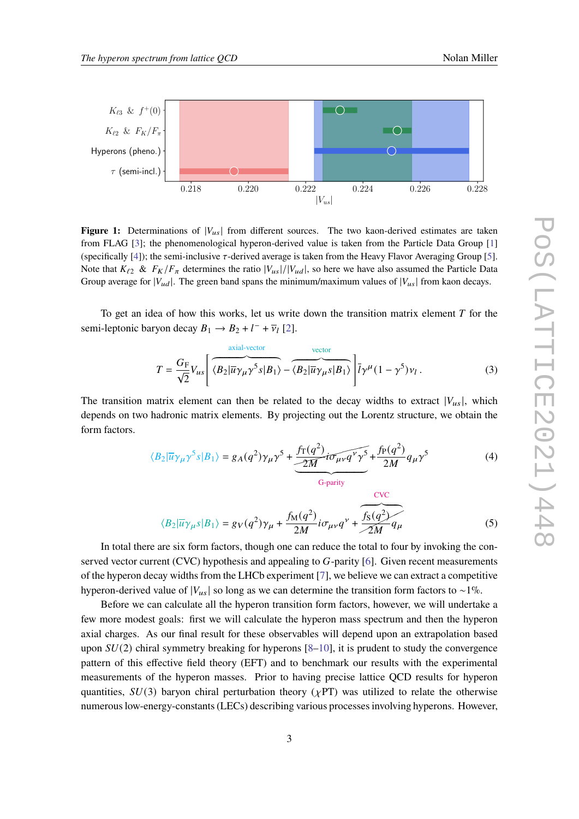<span id="page-2-0"></span>

**Figure 1:** Determinations of  $|V_{us}|$  from different sources. The two kaon-derived estimates are taken from FLAG [\[3\]](#page-7-2); the phenomenological hyperon-derived value is taken from the Particle Data Group [\[1\]](#page-7-0) (specifically  $[4]$ ); the semi-inclusive  $\tau$ -derived average is taken from the Heavy Flavor Averaging Group [\[5\]](#page-7-4). Note that  $K_{\ell 2} \& F_K/F_\pi$  determines the ratio  $|V_{us}|/|V_{ud}|$ , so here we have also assumed the Particle Data Group average for  $|V_{ud}|$ . The green band spans the minimum/maximum values of  $|V_{us}|$  from kaon decays.

To get an idea of how this works, let us write down the transition matrix element  $T$  for the semi-leptonic baryon decay  $B_1 \rightarrow B_2 + l^- + \overline{\nu}_l$  [\[2\]](#page-7-1).

$$
T = \frac{G_{\rm F}}{\sqrt{2}} V_{us} \left[ \overbrace{\langle B_2 | \overline{u} \gamma_\mu \gamma^5 s | B_1 \rangle}^{\text{axial-vector}} - \overbrace{\langle B_2 | \overline{u} \gamma_\mu s | B_1 \rangle}^{\text{vector}} \right] \overline{l} \gamma^\mu (1 - \gamma^5) v_l . \tag{3}
$$

The transition matrix element can then be related to the decay widths to extract  $|V_{\mu s}|$ , which depends on two hadronic matrix elements. By projecting out the Lorentz structure, we obtain the form factors.

$$
\langle B_2 | \overline{u} \gamma_\mu \gamma^5 s | B_1 \rangle = g_A(q^2) \gamma_\mu \gamma^5 + \underbrace{\frac{f_T(q^2)}{2M} i \sigma_{\mu\nu} q^{\nu} \gamma^5}_{\text{G-parity}} + \frac{f_P(q^2)}{2M} q_\mu \gamma^5 \tag{4}
$$

$$
\langle B_2 | \overline{u} \gamma_\mu s | B_1 \rangle = g_V(q^2) \gamma_\mu + \frac{f_M(q^2)}{2M} i \sigma_{\mu\nu} q^\nu + \frac{f_S(q^2)}{2M} q_\mu
$$
 (5)

In total there are six form factors, though one can reduce the total to four by invoking the conserved vector current (CVC) hypothesis and appealing to  $G$ -parity [\[6\]](#page-7-5). Given recent measurements of the hyperon decay widths from the LHCb experiment [\[7\]](#page-7-6), we believe we can extract a competitive hyperon-derived value of  $|V_{\mu s}|$  so long as we can determine the transition form factors to ~1%.

Before we can calculate all the hyperon transition form factors, however, we will undertake a few more modest goals: first we will calculate the hyperon mass spectrum and then the hyperon axial charges. As our final result for these observables will depend upon an extrapolation based upon  $SU(2)$  chiral symmetry breaking for hyperons  $[8–10]$  $[8–10]$ , it is prudent to study the convergence pattern of this effective field theory (EFT) and to benchmark our results with the experimental measurements of the hyperon masses. Prior to having precise lattice QCD results for hyperon quantities,  $SU(3)$  baryon chiral perturbation theory ( $\chi PT$ ) was utilized to relate the otherwise numerous low-energy-constants (LECs) describing various processes involving hyperons. However,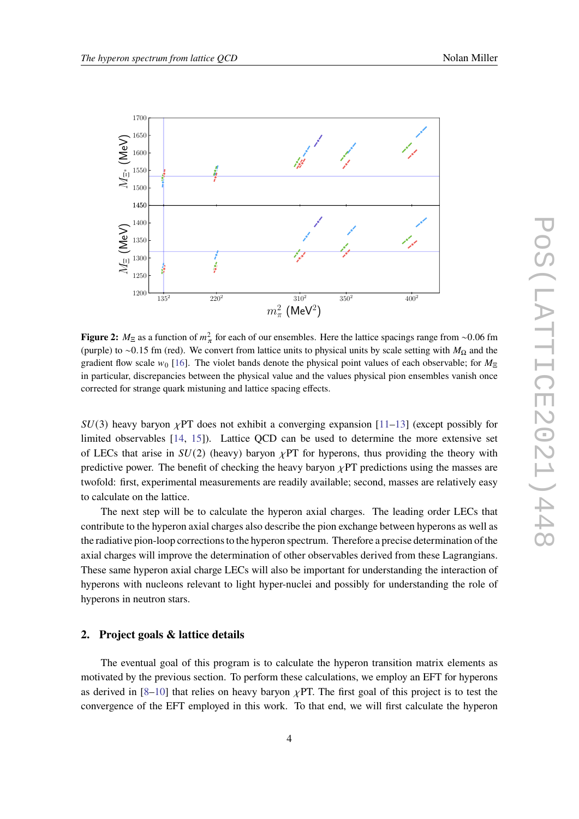<span id="page-3-0"></span>

**Figure 2:**  $M_{\Xi}$  as a function of  $m_{\pi}^2$  for each of our ensembles. Here the lattice spacings range from ~0.06 fm (purple) to ∼0.15 fm (red). We convert from lattice units to physical units by scale setting with  $M_{\Omega}$  and the gradient flow scale  $w_0$  [\[16\]](#page-8-1). The violet bands denote the physical point values of each observable; for  $M_{\rm E}$ in particular, discrepancies between the physical value and the values physical pion ensembles vanish once corrected for strange quark mistuning and lattice spacing effects.

 $SU(3)$  heavy baryon  $\chi$ PT does not exhibit a converging expansion [\[11](#page-8-2)[–13\]](#page-8-3) (except possibly for limited observables [\[14,](#page-8-4) [15\]](#page-8-5)). Lattice QCD can be used to determine the more extensive set of LECs that arise in  $SU(2)$  (heavy) baryon  $\chi$ PT for hyperons, thus providing the theory with predictive power. The benefit of checking the heavy baryon  $\chi PT$  predictions using the masses are twofold: first, experimental measurements are readily available; second, masses are relatively easy to calculate on the lattice.

The next step will be to calculate the hyperon axial charges. The leading order LECs that contribute to the hyperon axial charges also describe the pion exchange between hyperons as well as the radiative pion-loop corrections to the hyperon spectrum. Therefore a precise determination of the axial charges will improve the determination of other observables derived from these Lagrangians. These same hyperon axial charge LECs will also be important for understanding the interaction of hyperons with nucleons relevant to light hyper-nuclei and possibly for understanding the role of hyperons in neutron stars.

#### **2. Project goals & lattice details**

The eventual goal of this program is to calculate the hyperon transition matrix elements as motivated by the previous section. To perform these calculations, we employ an EFT for hyperons as derived in  $[8-10]$  $[8-10]$  that relies on heavy baryon  $\chi$ PT. The first goal of this project is to test the convergence of the EFT employed in this work. To that end, we will first calculate the hyperon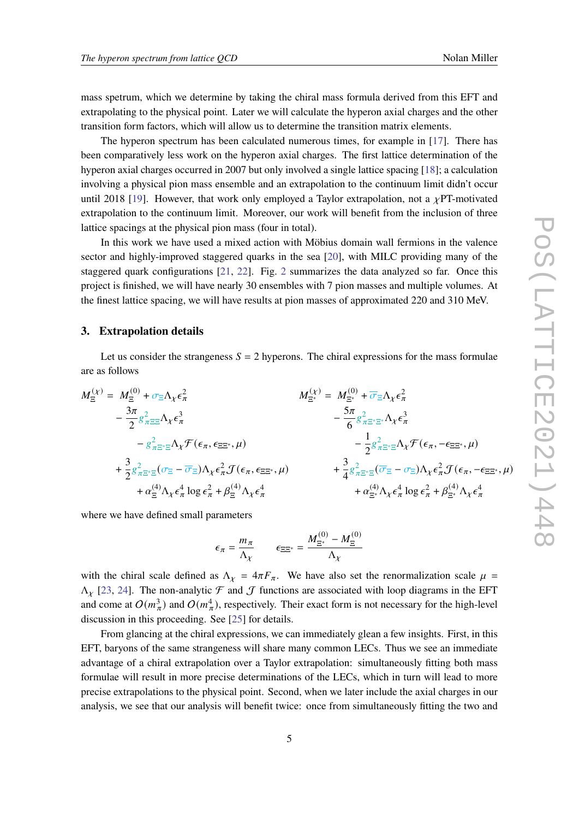mass spetrum, which we determine by taking the chiral mass formula derived from this EFT and extrapolating to the physical point. Later we will calculate the hyperon axial charges and the other transition form factors, which will allow us to determine the transition matrix elements.

The hyperon spectrum has been calculated numerous times, for example in [\[17\]](#page-8-6). There has been comparatively less work on the hyperon axial charges. The first lattice determination of the hyperon axial charges occurred in 2007 but only involved a single lattice spacing [\[18\]](#page-8-7); a calculation involving a physical pion mass ensemble and an extrapolation to the continuum limit didn't occur until 2018 [\[19\]](#page-8-8). However, that work only employed a Taylor extrapolation, not a  $\gamma PT$ -motivated extrapolation to the continuum limit. Moreover, our work will benefit from the inclusion of three lattice spacings at the physical pion mass (four in total).

In this work we have used a mixed action with Möbius domain wall fermions in the valence sector and highly-improved staggered quarks in the sea [\[20\]](#page-8-9), with MILC providing many of the staggered quark configurations [\[21,](#page-8-10) [22\]](#page-8-11). Fig. [2](#page-3-0) summarizes the data analyzed so far. Once this project is finished, we will have nearly 30 ensembles with 7 pion masses and multiple volumes. At the finest lattice spacing, we will have results at pion masses of approximated 220 and 310 MeV.

#### **3. Extrapolation details**

Let us consider the strangeness  $S = 2$  hyperons. The chiral expressions for the mass formulae are as follows

$$
M_{\Xi}^{(\chi)} = M_{\Xi}^{(0)} + \sigma_{\Xi} \Lambda_{\chi} \epsilon_{\pi}^{2}
$$
\n
$$
- \frac{3\pi}{2} g_{\pi \Xi}^{2} \Delta_{\chi} \epsilon_{\pi}^{3}
$$
\n
$$
- g_{\pi \Xi^{*} \Xi}^{2} \Lambda_{\chi} \mathcal{F}(\epsilon_{\pi}, \epsilon_{\Xi \Xi^{*}}, \mu)
$$
\n
$$
+ \frac{3}{2} g_{\pi \Xi^{*} \Xi}^{2} (\sigma_{\Xi} - \overline{\sigma}_{\Xi}) \Lambda_{\chi} \epsilon_{\pi}^{2} \mathcal{J}(\epsilon_{\pi}, \epsilon_{\Xi \Xi^{*}}, \mu)
$$
\n
$$
+ \alpha_{\Xi}^{(4)} \Lambda_{\chi} \epsilon_{\pi}^{4} \log \epsilon_{\pi}^{2} + \beta_{\Xi}^{(4)} \Lambda_{\chi} \epsilon_{\pi}^{4}
$$
\n
$$
+ \alpha_{\Xi}^{(4)} \Lambda_{\chi} \epsilon_{\pi}^{4} \log \epsilon_{\pi}^{2} + \beta_{\Xi}^{(4)} \Lambda_{\chi} \epsilon_{\pi}^{4}
$$
\n
$$
+ \alpha_{\Xi}^{(4)} \Lambda_{\chi} \epsilon_{\pi}^{4} \log \epsilon_{\pi}^{2} + \beta_{\Xi}^{(4)} \Lambda_{\chi} \epsilon_{\pi}^{4}
$$
\n
$$
+ \alpha_{\Xi}^{(4)} \Lambda_{\chi} \epsilon_{\pi}^{4} \log \epsilon_{\pi}^{2} + \beta_{\Xi}^{(4)} \Lambda_{\chi} \epsilon_{\pi}^{4}
$$
\n
$$
+ \alpha_{\Xi}^{(4)} \Lambda_{\chi} \epsilon_{\pi}^{4} \log \epsilon_{\pi}^{2} + \beta_{\Xi}^{(4)} \Lambda_{\chi} \epsilon_{\pi}^{4}
$$

where we have defined small parameters

$$
\epsilon_{\pi} = \frac{m_{\pi}}{\Lambda_{\chi}} \qquad \epsilon_{\Xi\Xi^*} = \frac{M_{\Xi^*}^{(0)} - M_{\Xi}^{(0)}}{\Lambda_{\chi}}
$$

with the chiral scale defined as  $\Lambda_{\chi} = 4\pi F_{\pi}$ . We have also set the renormalization scale  $\mu =$  $\Lambda_{Y}$  [\[23,](#page-8-12) [24\]](#page-8-13). The non-analytic  $\mathcal F$  and  $\mathcal J$  functions are associated with loop diagrams in the EFT and come at  $O(m_{\pi}^3)$  and  $O(m_{\pi}^4)$ , respectively. Their exact form is not necessary for the high-level discussion in this proceeding. See [\[25\]](#page-9-0) for details.

From glancing at the chiral expressions, we can immediately glean a few insights. First, in this EFT, baryons of the same strangeness will share many common LECs. Thus we see an immediate advantage of a chiral extrapolation over a Taylor extrapolation: simultaneously fitting both mass formulae will result in more precise determinations of the LECs, which in turn will lead to more precise extrapolations to the physical point. Second, when we later include the axial charges in our analysis, we see that our analysis will benefit twice: once from simultaneously fitting the two and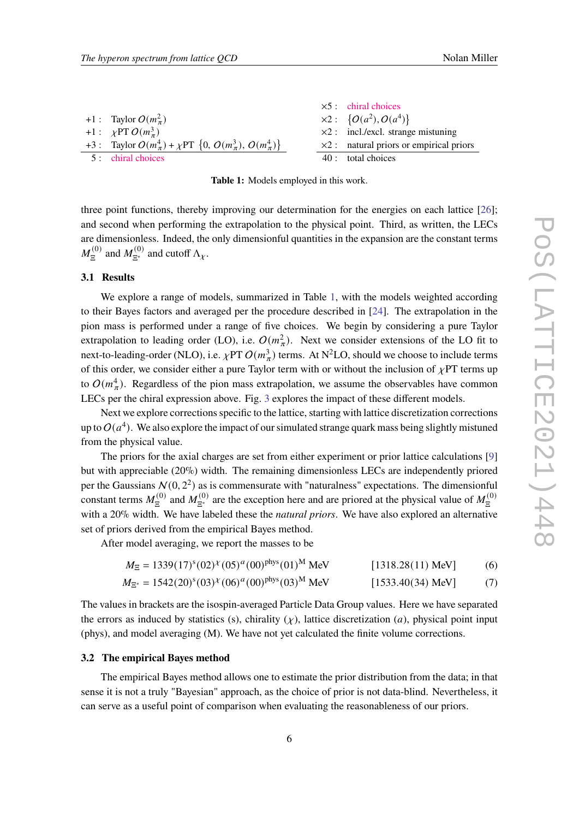<span id="page-5-0"></span>

|                                                                              | $\times$ 5 chiral choices                       |
|------------------------------------------------------------------------------|-------------------------------------------------|
| $+1$ : Taylor $O(m_{\pi}^2)$                                                 | $\times 2: \{O(a^2), O(a^4)\}\$                 |
| +1 : $\chi$ PT $O(m_{\pi}^{3})$                                              | $\times 2$ : incl./excl. strange mistuning      |
| +3 : Taylor $O(m_{\pi}^4)$ + $\chi$ PT {0, $O(m_{\pi}^3)$ , $O(m_{\pi}^4)$ } | $\times 2$ : natural priors or empirical priors |
| 5 chiral choices                                                             | 40 : total choices                              |



three point functions, thereby improving our determination for the energies on each lattice [\[26\]](#page-9-1); and second when performing the extrapolation to the physical point. Third, as written, the LECs are dimensionless. Indeed, the only dimensionful quantities in the expansion are the constant terms  $M_{\infty}^{(0)}$  $\mathcal{M}^{(0)}_{\Xi^*}$  and cutoff  $\Lambda_{\chi}$ .

#### **3.1 Results**

We explore a range of models, summarized in Table [1,](#page-5-0) with the models weighted according to their Bayes factors and averaged per the procedure described in [\[24\]](#page-8-13). The extrapolation in the pion mass is performed under a range of five choices. We begin by considering a pure Taylor extrapolation to leading order (LO), i.e.  $O(m_{\pi}^2)$ . Next we consider extensions of the LO fit to next-to-leading-order (NLO), i.e.  $\chi$ PT  $O(m_{\pi}^3)$  terms. At N<sup>2</sup>LO, should we choose to include terms of this order, we consider either a pure Taylor term with or without the inclusion of  $\chi PT$  terms up to  $O(m_{\pi}^4)$ . Regardless of the pion mass extrapolation, we assume the observables have common LECs per the chiral expression above. Fig. [3](#page-6-0) explores the impact of these different models.

Next we explore corrections specific to the lattice, starting with lattice discretization corrections up to  $O(a^4)$ . We also explore the impact of our simulated strange quark mass being slightly mistuned from the physical value.

The priors for the axial charges are set from either experiment or prior lattice calculations [\[9\]](#page-8-14) but with appreciable (20%) width. The remaining dimensionless LECs are independently priored per the Gaussians  $N(0, 2^2)$  as is commensurate with "naturalness" expectations. The dimensionful constant terms  $M_{\square}^{(0)}$  $\mathcal{M}^{(0)}_{\Xi}$  and  $\mathcal{M}^{(0)}_{\Xi}$  are the exception here and are priored at the physical value of  $\mathcal{M}^{(0)}_{\Xi}$ Ξ with a 20% width. We have labeled these the *natural priors*. We have also explored an alternative set of priors derived from the empirical Bayes method.

After model averaging, we report the masses to be

| $M_{\Xi} = 1339(17)^{8}(02)^{\chi}(05)^{a}(00)^{\text{phys}}(01)^{\text{M}}$ MeV | $[1318.28(11) \text{ MeV}]$ | (6) |
|----------------------------------------------------------------------------------|-----------------------------|-----|
| $M_{\Xi^*} = 1542(20)^s(03)^{\chi}(06)^a(00)^{\text{phys}}(03)^{\text{M}}$ MeV   | $[1533.40(34) \text{ MeV}]$ | (7) |

The values in brackets are the isospin-averaged Particle Data Group values. Here we have separated the errors as induced by statistics (s), chirality  $(\chi)$ , lattice discretization (*a*), physical point input (phys), and model averaging (M). We have not yet calculated the finite volume corrections.

#### **3.2 The empirical Bayes method**

The empirical Bayes method allows one to estimate the prior distribution from the data; in that sense it is not a truly "Bayesian" approach, as the choice of prior is not data-blind. Nevertheless, it can serve as a useful point of comparison when evaluating the reasonableness of our priors.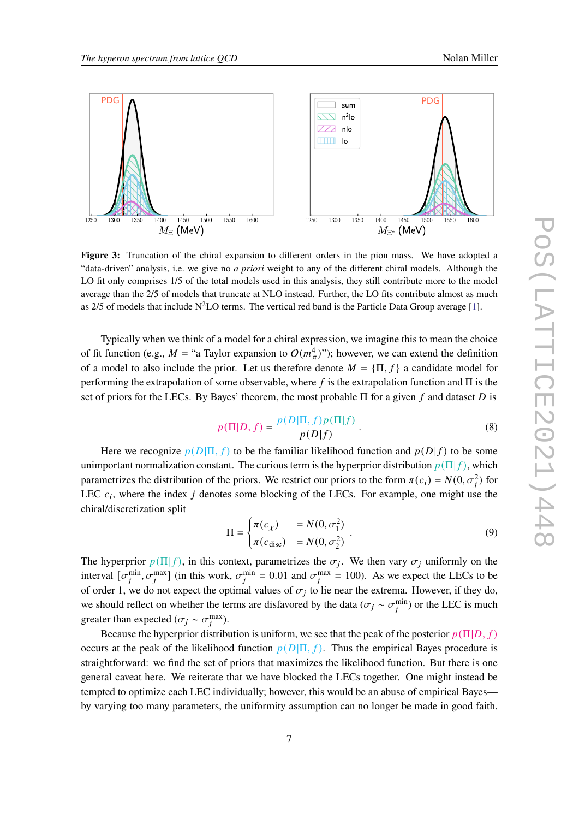<span id="page-6-0"></span>

**Figure 3:** Truncation of the chiral expansion to different orders in the pion mass. We have adopted a "data-driven" analysis, i.e. we give no *a priori* weight to any of the different chiral models. Although the LO fit only comprises  $1/5$  of the total models used in this analysis, they still contribute more to the model average than the 2/5 of models that truncate at NLO instead. Further, the LO fits contribute almost as much as 2/5 of models that include  $N^2LO$  terms. The vertical red band is the Particle Data Group average [\[1\]](#page-7-0).

Typically when we think of a model for a chiral expression, we imagine this to mean the choice of fit function (e.g.,  $M = "a$  Taylor expansion to  $O(m_{\pi}^4)$ "); however, we can extend the definition of a model to also include the prior. Let us therefore denote  $M = \{\Pi, f\}$  a candidate model for performing the extrapolation of some observable, where  $f$  is the extrapolation function and  $\Pi$  is the set of priors for the LECs. By Bayes' theorem, the most probable  $\Pi$  for a given  $f$  and dataset  $D$  is

$$
p(\Pi|D, f) = \frac{p(D|\Pi, f)p(\Pi|f)}{p(D|f)}.
$$
\n(8)

Here we recognize  $p(D|\Pi, f)$  to be the familiar likelihood function and  $p(D|f)$  to be some unimportant normalization constant. The curious term is the hyperprior distribution  $p(\Pi | f)$ , which parametrizes the distribution of the priors. We restrict our priors to the form  $\pi(c_i) = N(0, \sigma_i^2)$  for LEC  $c_i$ , where the index j denotes some blocking of the LECs. For example, one might use the chiral/discretization split

$$
\Pi = \begin{cases} \pi(c_{\chi}) & = N(0, \sigma_1^2) \\ \pi(c_{\text{disc}}) & = N(0, \sigma_2^2) \end{cases} . \tag{9}
$$

The hyperprior  $p(\Pi | f)$ , in this context, parametrizes the  $\sigma_i$ . We then vary  $\sigma_i$  uniformly on the interval  $[\sigma_i^{\min}, \sigma_i^{\max}]$  (in this work,  $\sigma_i^{\min} = 0.01$  and  $\sigma_i^{\max} = 100$ ). As we expect the LECs to be of order 1, we do not expect the optimal values of  $\sigma_i$  to lie near the extrema. However, if they do, we should reflect on whether the terms are disfavored by the data ( $\sigma_j \sim \sigma_i^{\min}$ ) or the LEC is much greater than expected ( $\sigma_j \sim \sigma_j^{\text{max}}$ ).

Because the hyperprior distribution is uniform, we see that the peak of the posterior  $p(\Pi|D, f)$ occurs at the peak of the likelihood function  $p(D|\Pi, f)$ . Thus the empirical Bayes procedure is straightforward: we find the set of priors that maximizes the likelihood function. But there is one general caveat here. We reiterate that we have blocked the LECs together. One might instead be tempted to optimize each LEC individually; however, this would be an abuse of empirical Bayes by varying too many parameters, the uniformity assumption can no longer be made in good faith.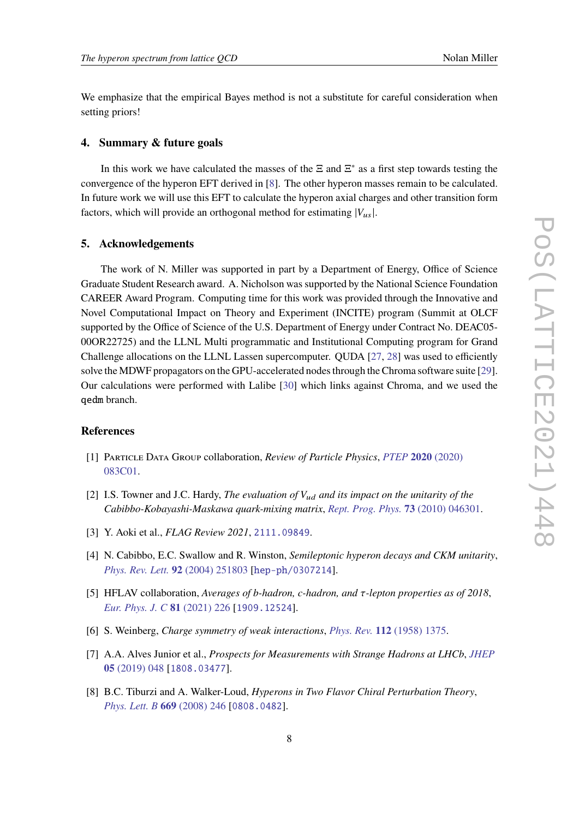We emphasize that the empirical Bayes method is not a substitute for careful consideration when setting priors!

### **4. Summary & future goals**

In this work we have calculated the masses of the  $\Xi$  and  $\Xi^*$  as a first step towards testing the convergence of the hyperon EFT derived in [\[8\]](#page-7-7). The other hyperon masses remain to be calculated. In future work we will use this EFT to calculate the hyperon axial charges and other transition form factors, which will provide an orthogonal method for estimating  $|V_{\mu s}|$ .

#### **5. Acknowledgements**

The work of N. Miller was supported in part by a Department of Energy, Office of Science Graduate Student Research award. A. Nicholson was supported by the National Science Foundation CAREER Award Program. Computing time for this work was provided through the Innovative and Novel Computational Impact on Theory and Experiment (INCITE) program (Summit at OLCF supported by the Office of Science of the U.S. Department of Energy under Contract No. DEAC05-00OR22725) and the LLNL Multi programmatic and Institutional Computing program for Grand Challenge allocations on the LLNL Lassen supercomputer. QUDA [\[27,](#page-9-2) [28\]](#page-9-3) was used to efficiently solve the MDWF propagators on the GPU-accelerated nodes through the Chroma software suite [\[29\]](#page-9-4). Our calculations were performed with Lalibe [\[30\]](#page-9-5) which links against Chroma, and we used the qedm branch.

#### **References**

- <span id="page-7-0"></span>[1] Particle Data Group collaboration, *Review of Particle Physics*, *[PTEP](https://doi.org/10.1093/ptep/ptaa104)* **2020** (2020) [083C01.](https://doi.org/10.1093/ptep/ptaa104)
- <span id="page-7-1"></span>[2] I.S. Towner and J.C. Hardy, *The evaluation of*  $V_{ud}$  *and its impact on the unitarity of the Cabibbo-Kobayashi-Maskawa quark-mixing matrix*, *[Rept. Prog. Phys.](https://doi.org/10.1088/0034-4885/73/4/046301)* **73** (2010) 046301.
- <span id="page-7-2"></span>[3] Y. Aoki et al., *FLAG Review 2021*, [2111.09849](https://arxiv.org/abs/2111.09849).
- <span id="page-7-3"></span>[4] N. Cabibbo, E.C. Swallow and R. Winston, *Semileptonic hyperon decays and CKM unitarity*, *[Phys. Rev. Lett.](https://doi.org/10.1103/PhysRevLett.92.251803)* **92** (2004) 251803 [[hep-ph/0307214](https://arxiv.org/abs/hep-ph/0307214)].
- <span id="page-7-4"></span>[5] HFLAV collaboration, *Averages of b-hadron, c-hadron, and τ-lepton properties as of 2018*, *[Eur. Phys. J. C](https://doi.org/10.1140/epjc/s10052-020-8156-7)* **81** (2021) 226 [[1909.12524](https://arxiv.org/abs/1909.12524)].
- <span id="page-7-5"></span>[6] S. Weinberg, *Charge symmetry of weak interactions*, *[Phys. Rev.](https://doi.org/10.1103/PhysRev.112.1375)* **112** (1958) 1375.
- <span id="page-7-6"></span>[7] A.A. Alves Junior et al., *Prospects for Measurements with Strange Hadrons at LHCb*, *[JHEP](https://doi.org/10.1007/JHEP05(2019)048)* **05** [\(2019\) 048](https://doi.org/10.1007/JHEP05(2019)048) [[1808.03477](https://arxiv.org/abs/1808.03477)].
- <span id="page-7-7"></span>[8] B.C. Tiburzi and A. Walker-Loud, *Hyperons in Two Flavor Chiral Perturbation Theory*, *[Phys. Lett. B](https://doi.org/10.1016/j.physletb.2008.09.054)* **669** (2008) 246 [[0808.0482](https://arxiv.org/abs/0808.0482)].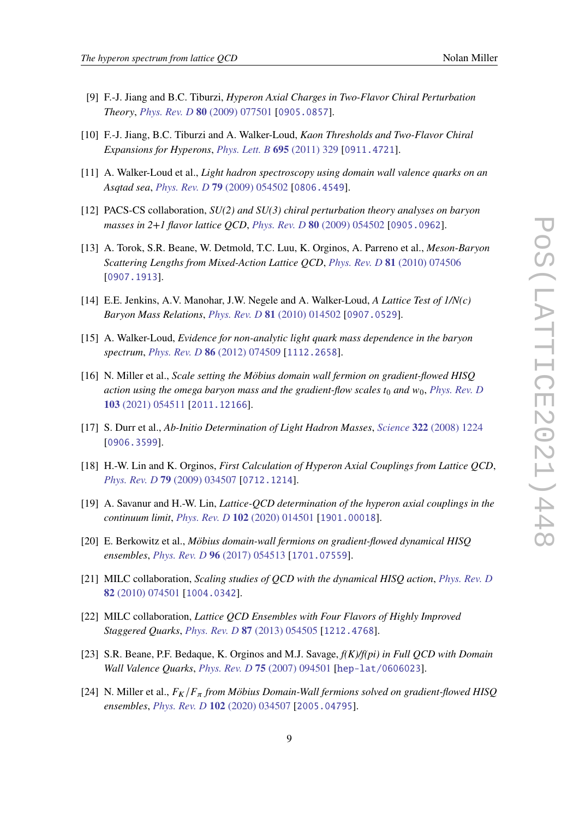- <span id="page-8-14"></span>[9] F.-J. Jiang and B.C. Tiburzi, *Hyperon Axial Charges in Two-Flavor Chiral Perturbation Theory*, *[Phys. Rev. D](https://doi.org/10.1103/PhysRevD.80.077501)* **80** (2009) 077501 [[0905.0857](https://arxiv.org/abs/0905.0857)].
- <span id="page-8-0"></span>[10] F.-J. Jiang, B.C. Tiburzi and A. Walker-Loud, *Kaon Thresholds and Two-Flavor Chiral Expansions for Hyperons*, *[Phys. Lett. B](https://doi.org/10.1016/j.physletb.2010.11.003)* **695** (2011) 329 [[0911.4721](https://arxiv.org/abs/0911.4721)].
- <span id="page-8-2"></span>[11] A. Walker-Loud et al., *Light hadron spectroscopy using domain wall valence quarks on an Asqtad sea*, *[Phys. Rev. D](https://doi.org/10.1103/PhysRevD.79.054502)* **79** (2009) 054502 [[0806.4549](https://arxiv.org/abs/0806.4549)].
- [12] PACS-CS collaboration, *SU(2) and SU(3) chiral perturbation theory analyses on baryon masses in 2+1 flavor lattice QCD*, *[Phys. Rev. D](https://doi.org/10.1103/PhysRevD.80.054502)* **80** (2009) 054502 [[0905.0962](https://arxiv.org/abs/0905.0962)].
- <span id="page-8-3"></span>[13] A. Torok, S.R. Beane, W. Detmold, T.C. Luu, K. Orginos, A. Parreno et al., *Meson-Baryon Scattering Lengths from Mixed-Action Lattice QCD*, *[Phys. Rev. D](https://doi.org/10.1103/PhysRevD.81.074506)* **81** (2010) 074506 [[0907.1913](https://arxiv.org/abs/0907.1913)].
- <span id="page-8-4"></span>[14] E.E. Jenkins, A.V. Manohar, J.W. Negele and A. Walker-Loud, *A Lattice Test of 1/N(c) Baryon Mass Relations*, *[Phys. Rev. D](https://doi.org/10.1103/PhysRevD.81.014502)* **81** (2010) 014502 [[0907.0529](https://arxiv.org/abs/0907.0529)].
- <span id="page-8-5"></span>[15] A. Walker-Loud, *Evidence for non-analytic light quark mass dependence in the baryon spectrum*, *[Phys. Rev. D](https://doi.org/10.1103/PhysRevD.86.074509)* **86** (2012) 074509 [[1112.2658](https://arxiv.org/abs/1112.2658)].
- <span id="page-8-1"></span>[16] N. Miller et al., *Scale setting the Möbius domain wall fermion on gradient-flowed HISQ action using the omega baryon mass and the gradient-flow scales*  $t_0$  *and*  $w_0$ , *[Phys. Rev. D](https://doi.org/10.1103/PhysRevD.103.054511)* **103** [\(2021\) 054511](https://doi.org/10.1103/PhysRevD.103.054511) [[2011.12166](https://arxiv.org/abs/2011.12166)].
- <span id="page-8-6"></span>[17] S. Durr et al., *Ab-Initio Determination of Light Hadron Masses*, *Science* **322** [\(2008\) 1224](https://doi.org/10.1126/science.1163233) [[0906.3599](https://arxiv.org/abs/0906.3599)].
- <span id="page-8-7"></span>[18] H.-W. Lin and K. Orginos, *First Calculation of Hyperon Axial Couplings from Lattice QCD*, *[Phys. Rev. D](https://doi.org/10.1103/PhysRevD.79.034507)* **79** (2009) 034507 [[0712.1214](https://arxiv.org/abs/0712.1214)].
- <span id="page-8-8"></span>[19] A. Savanur and H.-W. Lin, *Lattice-QCD determination of the hyperon axial couplings in the continuum limit*, *[Phys. Rev. D](https://doi.org/10.1103/PhysRevD.102.014501)* **102** (2020) 014501 [[1901.00018](https://arxiv.org/abs/1901.00018)].
- <span id="page-8-9"></span>[20] E. Berkowitz et al., *Möbius domain-wall fermions on gradient-flowed dynamical HISQ ensembles*, *[Phys. Rev. D](https://doi.org/10.1103/PhysRevD.96.054513)* **96** (2017) 054513 [[1701.07559](https://arxiv.org/abs/1701.07559)].
- <span id="page-8-10"></span>[21] MILC collaboration, *Scaling studies of QCD with the dynamical HISQ action*, *[Phys. Rev. D](https://doi.org/10.1103/PhysRevD.82.074501)* **82** [\(2010\) 074501](https://doi.org/10.1103/PhysRevD.82.074501) [[1004.0342](https://arxiv.org/abs/1004.0342)].
- <span id="page-8-11"></span>[22] MILC collaboration, *Lattice QCD Ensembles with Four Flavors of Highly Improved Staggered Quarks*, *[Phys. Rev. D](https://doi.org/10.1103/PhysRevD.87.054505)* **87** (2013) 054505 [[1212.4768](https://arxiv.org/abs/1212.4768)].
- <span id="page-8-12"></span>[23] S.R. Beane, P.F. Bedaque, K. Orginos and M.J. Savage, *f(K)/f(pi) in Full QCD with Domain Wall Valence Quarks*, *[Phys. Rev. D](https://doi.org/10.1103/PhysRevD.75.094501)* **75** (2007) 094501 [[hep-lat/0606023](https://arxiv.org/abs/hep-lat/0606023)].
- <span id="page-8-13"></span>[24] N. Miller et al.,  $F_K/F_{\pi}$  from Möbius Domain-Wall fermions solved on gradient-flowed HISO *ensembles*, *[Phys. Rev. D](https://doi.org/10.1103/PhysRevD.102.034507)* **102** (2020) 034507 [[2005.04795](https://arxiv.org/abs/2005.04795)].